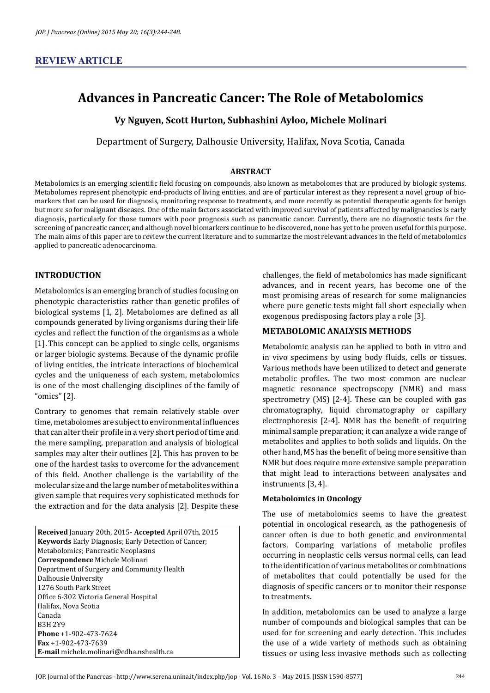# **Advances in Pancreatic Cancer: The Role of Metabolomics**

**Vy Nguyen, Scott Hurton, Subhashini Ayloo, Michele Molinari**

Department of Surgery, Dalhousie University, Halifax, Nova Scotia, Canada

#### **ABSTRACT**

Metabolomics is an emerging scientific field focusing on compounds, also known as metabolomes that are produced by biologic systems. Metabolomes represent phenotypic end-products of living entities, and are of particular interest as they represent a novel group of biomarkers that can be used for diagnosis, monitoring response to treatments, and more recently as potential therapeutic agents for benign but more so for malignant diseases. One of the main factors associated with improved survival of patients affected by malignancies is early diagnosis, particularly for those tumors with poor prognosis such as pancreatic cancer. Currently, there are no diagnostic tests for the screening of pancreatic cancer, and although novel biomarkers continue to be discovered, none has yet to be proven useful for this purpose. The main aims of this paper are to review the current literature and to summarize the most relevant advances in the field of metabolomics applied to pancreatic adenocarcinoma.

## **INTRODUCTION**

Metabolomics is an emerging branch of studies focusing on phenotypic characteristics rather than genetic profiles of biological systems [1, 2]. Metabolomes are defined as all compounds generated by living organisms during their life cycles and reflect the function of the organisms as a whole [1]. This concept can be applied to single cells, organisms or larger biologic systems. Because of the dynamic profile of living entities, the intricate interactions of biochemical cycles and the uniqueness of each system, metabolomics is one of the most challenging disciplines of the family of "omics" [2].

Contrary to genomes that remain relatively stable over time, metabolomes are subject to environmental influences that can alter their profile in a very short period of time and the mere sampling, preparation and analysis of biological samples may alter their outlines [2]. This has proven to be one of the hardest tasks to overcome for the advancement of this field. Another challenge is the variability of the molecular size and the large number of metabolites within a given sample that requires very sophisticated methods for the extraction and for the data analysis [2]. Despite these

**Received** January 20th, 2015- **Accepted** April 07th, 2015 **Keywords** Early Diagnosis; Early Detection of Cancer; Metabolomics; Pancreatic Neoplasms **Correspondence** Michele Molinari Department of Surgery and Community Health Dalhousie University 1276 South Park Street Office 6-302 Victoria General Hospital Halifax, Nova Scotia Canada B3H 2Y9 **Phone** +1-902-473-7624 **Fax** +1-902-473-7639 **E-mail** michele.molinari@cdha.nshealth.ca

challenges, the field of metabolomics has made significant advances, and in recent years, has become one of the most promising areas of research for some malignancies where pure genetic tests might fall short especially when exogenous predisposing factors play a role [3].

### **METABOLOMIC ANALYSIS METHODS**

Metabolomic analysis can be applied to both in vitro and in vivo specimens by using body fluids, cells or tissues. Various methods have been utilized to detect and generate metabolic profiles. The two most common are nuclear magnetic resonance spectropscopy (NMR) and mass spectrometry (MS) [2-4]. These can be coupled with gas chromatography, liquid chromatography or capillary electrophoresis [2-4]. NMR has the benefit of requiring minimal sample preparation; it can analyze a wide range of metabolites and applies to both solids and liquids. On the other hand, MS has the benefit of being more sensitive than NMR but does require more extensive sample preparation that might lead to interactions between analysates and instruments [3, 4].

#### **Metabolomics in Oncology**

The use of metabolomics seems to have the greatest potential in oncological research, as the pathogenesis of cancer often is due to both genetic and environmental factors. Comparing variations of metabolic profiles occurring in neoplastic cells versus normal cells, can lead to the identification of various metabolites or combinations of metabolites that could potentially be used for the diagnosis of specific cancers or to monitor their response to treatments.

In addition, metabolomics can be used to analyze a large number of compounds and biological samples that can be used for for screening and early detection. This includes the use of a wide variety of methods such as obtaining tissues or using less invasive methods such as collecting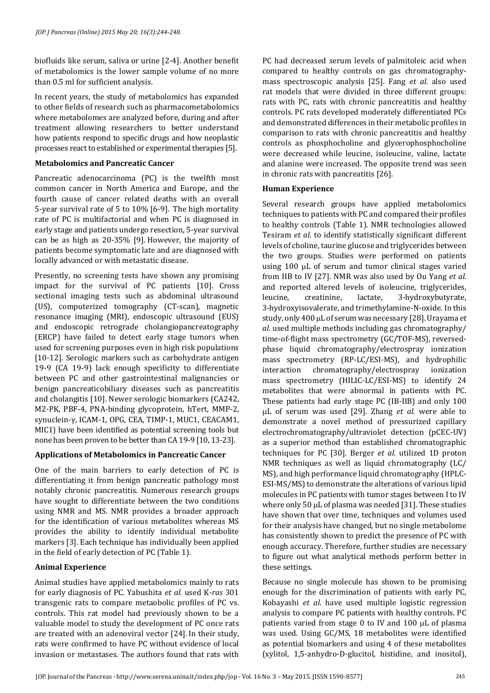biofluids like serum, saliva or urine [2-4]. Another benefit of metabolomics is the lower sample volume of no more than 0.5 ml for sufficient analysis.

In recent years, the study of metabolomics has expanded to other fields of research such as pharmacometabolomics where metabolomes are analyzed before, during and after treatment allowing researchers to better understand how patients respond to specific drugs and how neoplastic processes react to established or experimental therapies [5].

#### **Metabolomics and Pancreatic Cancer**

Pancreatic adenocarcinoma (PC) is the twelfth most common cancer in North America and Europe, and the fourth cause of cancer related deaths with an overall 5-year survival rate of 5 to 10% [6-9]. The high mortality rate of PC is multifactorial and when PC is diagnosed in early stage and patients undergo resection, 5-year survival can be as high as 20-35% [9]. However, the majority of patients become symptomatic late and are diagnosed with locally advanced or with metastatic disease.

Presently, no screening tests have shown any promising impact for the survival of PC patients [10]. Cross sectional imaging tests such as abdominal ultrasound (US), computerized tomography (CT-scan), magnetic resonance imaging (MRI), endoscopic ultrasound (EUS) and endoscopic retrograde cholangiopancreatography (ERCP) have failed to detect early stage tumors when used for screening purposes even in high risk populations [10-12]. Serologic markers such as carbohydrate antigen 19-9 (CA 19-9) lack enough specificity to differentiate between PC and other gastrointestinal malignancies or benign pancreaticobiliary diseases such as pancreatitis and cholangitis [10]. Newer serologic biomarkers (CA242, M2-PK, PBF-4, PNA-binding glycoprotein, hTert, MMP-2, synuclein-γ, ICAM-1, OPG, CEA, TIMP-1, MUC1, CEACAM1, MIC1) have been identified as potential screening tools but none has been proven to be better than CA 19-9 [10, 13-23].

### **Applications of Metabolomics in Pancreatic Cancer**

One of the main barriers to early detection of PC is differentiating it from benign pancreatic pathology most notably chronic pancreatitis. Numerous research groups have sought to differentiate between the two conditions using NMR and MS. NMR provides a broader approach for the identification of various metabolites whereas MS provides the ability to identify individual metabolite markers [3]. Each technique has individually been applied in the field of early detection of PC (Table 1).

### **Animal Experience**

Animal studies have applied metabolomics mainly to rats for early diagnosis of PC. Yabushita *et al.* used K-*ras* 301 transgenic rats to compare metaobolic profiles of PC vs. controls. This rat model had previously shown to be a valuable model to study the development of PC once rats are treated with an adenoviral vector [24]. In their study, rats were confirmed to have PC without evidence of local invasion or metastases. The authors found that rats with PC had decreased serum levels of palmitoleic acid when compared to healthy controls on gas chromatographymass spectroscopic analysis [25]. Fang *et al.* also used rat models that were divided in three different groups: rats with PC, rats with chronic pancreatitis and healthy controls. PC rats developed moderately differentiated PCs and demonstrated differences in their metabolic profiles in comparison to rats with chronic pancreatitis and healthy controls as phosphocholine and glycerophosphocholine were decreased while leucine, isoleucine, valine, lactate and alanine were increased. The opposite trend was seen in chronic rats with pancreatitis [26].

### **Human Experience**

Several research groups have applied metabolomics techniques to patients with PC and compared their profiles to healthy controls (Table 1). NMR technologies allowed Tesiram *et al.* to identify statistically significant different levels of choline, taurine glucose and triglycerides between the two groups. Studies were performed on patients using 100 µL of serum and tumor clinical stages varied from IIB to IV [27]. NMR was also used by Ou Yang *et al.* and reported altered levels of isoleucine, triglycerides, leucine, creatinine, lactate, 3-hydroxybutyrate, 3-hydroxyisovalerate, and trimethylamine-N-oxide. In this study, only 400 µL of serum was necessary [28]. Urayama *et al.* used multiple methods including gas chromatography/ time-of-flight mass spectrometry (GC/TOF-MS), reversedphase liquid chromatography/electrospray ionization mass spectrometry (RP-LC/ESI-MS), and hydrophilic<br>interaction chromatography/electrospray ionization chromatography/electrospray mass spectrometry (HILIC-LC/ESI-MS) to identify 24 metabolites that were abnormal in patients with PC. These patients had early stage PC (IB-IIB) and only 100 µL of serum was used [29]. Zhang *et al.* were able to demonstrate a novel method of pressurized capillary electrochromatography/ultraviolet detection (pCEC-UV) as a superior method than established chromatographic techniques for PC [30]. Berger *et al.* utilized 1D proton NMR techniques as well as liquid chromatography (LC/ MS), and high performance liquid chromatography (HPLC-ESI-MS/MS) to demonstrate the alterations of various lipid molecules in PC patients with tumor stages between I to IV where only 50 µL of plasma was needed [31]. These studies have shown that over time, techniques and volumes used for their analysis have changed, but no single metabolome has consistently shown to predict the presence of PC with enough accuracy. Therefore, further studies are necessary to figure out what analytical methods perform better in these settings.

Because no single molecule has shown to be promising enough for the discrimination of patients with early PC, Kobayashi *et al.* have used multiple logistic regression analysis to compare PC patients with healthy controls. PC patients varied from stage 0 to IV and 100 µL of plasma was used. Using GC/MS, 18 metabolites were identified as potential biomarkers and using 4 of these metabolites (xylitol, 1,5-anhydro-D-glucitol, histidine, and inositol),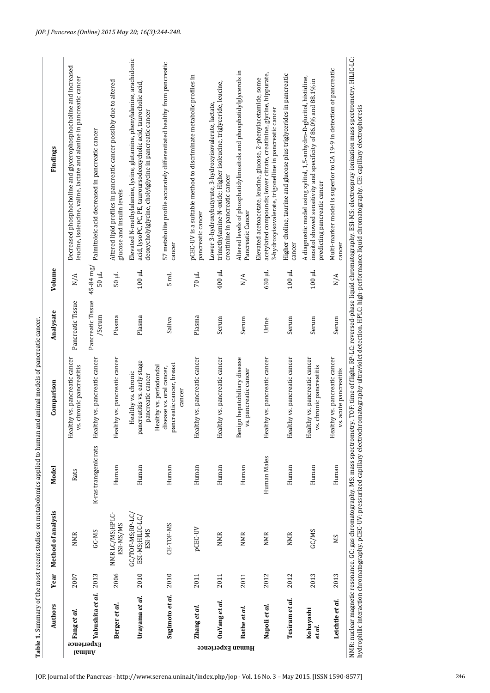|                  | Authors                                                           |      | Year Method of analysis                        | Model                 | Comparison                                                                                 | Analysate                   | Volume                  | Findings                                                                                                                                                                                                                                                                                                                                                                                                          |
|------------------|-------------------------------------------------------------------|------|------------------------------------------------|-----------------------|--------------------------------------------------------------------------------------------|-----------------------------|-------------------------|-------------------------------------------------------------------------------------------------------------------------------------------------------------------------------------------------------------------------------------------------------------------------------------------------------------------------------------------------------------------------------------------------------------------|
| lsminA           | $\frac{2007}{\frac{2101}{21}}$ Fang et al.<br>$\frac{2007}{2013}$ |      | <b>NMR</b>                                     | Rats                  | Healthy vs. pancreatic cancer<br>vs. chronic pancreatitis                                  | Pancreatic Tissue           | N/A                     | Decreased phosphocholine and glycerophosphocholine and increased<br>leucine, isoleucine, valine, lactate and alanine in pancreatic cancer                                                                                                                                                                                                                                                                         |
|                  |                                                                   |      | GC-MS                                          | K-ras transgenic rats | Healthy vs. pancreatic cancer                                                              | Pancreatic Tissue<br>/Serum | 45-84 mg/<br>$50 \mu L$ | Palmitoleic acid decreased in pancreatic cancer                                                                                                                                                                                                                                                                                                                                                                   |
|                  | Berger et al.                                                     | 2006 | NMR LC/MS;HPLC-<br>ESI-MS/MS                   | Human                 | thy vs. pancreatic cancer<br>Healt                                                         | Plasma                      | $100 \mu$               | Altered lipid profiles in pancreatic cancer possibly due to altered<br>glucose and insulin levels                                                                                                                                                                                                                                                                                                                 |
|                  | Urayama et al.                                                    | 2010 | GC/TOF-MS;RP-LC,<br>ESI-MS;HILIC-LC,<br>ESI-MS | Human                 | pancreatitis vs. early stage<br>Healthy vs. chronic<br>pancreatic cancer                   | Plasma                      | $100 \mu L$             | Elevated N-methylalanine, lysine, glutamine, phenylalanine, arachidonic<br>acid, lysoPC, PC, PE, tauroursodeoxycholic acid, taurocholic acid,<br>deoxycholylglycine, cholylglycine in pancreatic cancer                                                                                                                                                                                                           |
|                  | Sugimoto et al.                                                   | 2010 | CE-TOF-MS                                      | Human                 | pancreatic cancer, breast<br>Healthy vs. periodondal<br>disease vs. oral cancer,<br>cancer | Saliva                      | $5 \text{ mL}$          | 57 metabolite profile accurately differentiated healthy from pancreatic<br>cancer                                                                                                                                                                                                                                                                                                                                 |
|                  | Zhang et al.                                                      | 2011 | pCEC-UV                                        | Human                 | Healthy vs. pancreatic cancer                                                              | Plasma                      | 70 µL                   | pCEC-UV is a suitable method to discriminate metabolic profiles in<br>pancreatic cancer                                                                                                                                                                                                                                                                                                                           |
| Human Experience | OuYang et al.                                                     | 2011 | <b>NMR</b>                                     | Human                 | thy vs. pancreatic cancer<br>Healt                                                         | Serum                       | 400 µL                  | trimethylamine-N-oxide; Higher isoleucine, triglyceride, leucine,<br>Lower 3-hydroxybutyrate, 3-hydroxyisovalerate, lactate,<br>creatinine in pancreatic cancer                                                                                                                                                                                                                                                   |
|                  | Bathe <i>et al</i> .                                              | 2011 | <b>NMR</b>                                     | Human                 | Benign hepatobiliary disease<br>vs. pancreatic cancer                                      | Serum                       | N/A                     | Altered levels of phosphatidylinositols and phosphatidylglycerols in<br>Pancreatic Cancer                                                                                                                                                                                                                                                                                                                         |
|                  | Napoli et al.                                                     | 2012 | <b>NMR</b>                                     | Human Males           | Healthy vs. pancreatic cancer                                                              | Urine                       | 630 µL                  | acetylated compounds; lower citrate, creatinine, glycine, hippurate,<br>Elevated acetoacetate, leucine, glucose, 2-phenylacetamide, some<br>3-hydroxyisovalerate, trigonelline in pancreatic cancer                                                                                                                                                                                                               |
|                  | Tesiram et al.                                                    | 2012 | <b>NMR</b>                                     | Human                 | thy vs. pancreatic cancer<br>Healt                                                         | Serum                       | $100 \mu L$             | Higher choline, taurine and glucose plus triglycerides in pancreatic<br>cancer                                                                                                                                                                                                                                                                                                                                    |
|                  | Kobayashi<br>et al.                                               | 2013 | GC/MS                                          | Human                 | Healthy vs. pancreatic cancer<br>vs. chronic pancreatitis                                  | Serum                       | $100 \mu L$             | A diagnostic model using xylitol, 1,5-anhydro-D-glucitol, histidine,<br>inositol showed sensitivity and specificity of 86.0% and 88.1% in<br>predicting pancreatic cancer                                                                                                                                                                                                                                         |
|                  | Leichtle et al.                                                   | 2013 | МS                                             | Human                 | Healthy vs. pancreatic cancer<br>vs. acute pancreatitis                                    | Serum                       | N/A                     | Multi-marker model is superior to CA 19-9 in detection of pancreatic<br>cancer                                                                                                                                                                                                                                                                                                                                    |
|                  |                                                                   |      |                                                |                       |                                                                                            |                             |                         | NMR: nuclear magnetic resonance. GC: gas chromatography. MS: mass spectrometry. TOF: time of flight. RP-LC: reversed-phase liquid chromatography. ESI-MS: electrospray ionization mass spectrometry. HILIG-LC:<br>hydrophilic interaction chromatography. pCEC-UV: pressurized capillary electrochromatography-ultraviolet detection. HPLC: high-performance liquid chromatography. CE: capillary electrophoresis |

Table 1. Summary of the most recent studies on metabolomics applied to human and animal models of pancreatic cancer. Summary of the most recent studies on metabolomics applied to human and animal models of pancreatic cancer.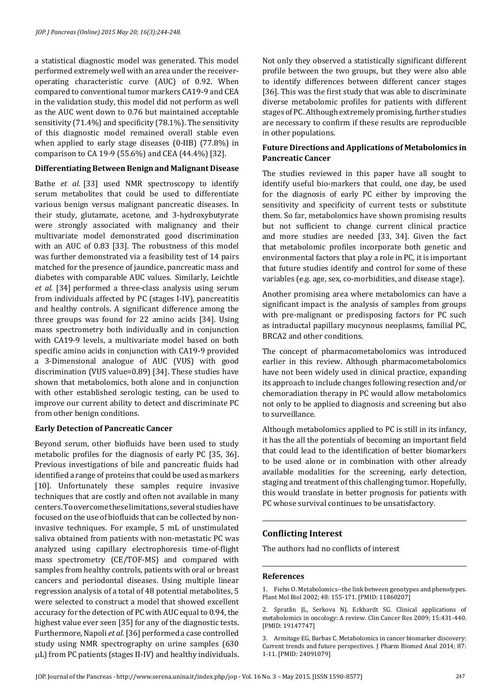a statistical diagnostic model was generated. This model performed extremely well with an area under the receiveroperating characteristic curve (AUC) of 0.92. When compared to conventional tumor markers CA19-9 and CEA in the validation study, this model did not perform as well as the AUC went down to 0.76 but maintained acceptable sensitivity (71.4%) and specificity (78.1%). The sensitivity of this diagnostic model remained overall stable even when applied to early stage diseases (0-IIB) (77.8%) in comparison to CA 19-9 (55.6%) and CEA (44.4%) [32].

### **Differentiating Between Benign and Malignant Disease**

Bathe *et al.* [33] used NMR spectroscopy to identify serum metabolites that could be used to differentiate various benign versus malignant pancreatic diseases. In their study, glutamate, acetone, and 3-hydroxybutyrate were strongly associated with malignancy and their multivariate model demonstrated good discrimination with an AUC of 0.83 [33]. The robustness of this model was further demonstrated via a feasibility test of 14 pairs matched for the presence of jaundice, pancreatic mass and diabetes with comparable AUC values. Similarly, Leichtle *et al.* [34] performed a three-class analysis using serum from individuals affected by PC (stages I-IV), pancreatitis and healthy controls. A significant difference among the three groups was found for 22 amino acids [34]. Using mass spectrometry both individually and in conjunction with CA19-9 levels, a multivariate model based on both specific amino acids in conjunction with CA19-9 provided a 3-Dimensional analogue of AUC (VUS) with good discrimination (VUS value=0.89) [34]. These studies have shown that metabolomics, both alone and in conjunction with other established serologic testing, can be used to improve our current ability to detect and discriminate PC from other benign conditions.

### **Early Detection of Pancreatic Cancer**

Beyond serum, other biofluids have been used to study metabolic profiles for the diagnosis of early PC [35, 36]. Previous investigations of bile and pancreatic fluids had identified a range of proteins that could be used as markers [10]. Unfortunately these samples require invasive techniques that are costly and often not available in many centers. To overcome these limitations, several studies have focused on the use of biofluids that can be collected by noninvasive techniques. For example, 5 mL of unstimulated saliva obtained from patients with non-metastatic PC was analyzed using capillary electrophoresis time-of-flight mass spectrometry (CE/TOF-MS) and compared with samples from healthy controls, patients with oral or breast cancers and periodontal diseases. Using multiple linear regression analysis of a total of 48 potential metabolites, 5 were selected to construct a model that showed excellent accuracy for the detection of PC with AUC equal to 0.94, the highest value ever seen [35] for any of the diagnostic tests. Furthermore, Napoli *et al.* [36] performed a case controlled study using NMR spectrography on urine samples (630 µL) from PC patients (stages II-IV) and healthy individuals. Not only they observed a statistically significant different profile between the two groups, but they were also able to identify differences between different cancer stages [36]. This was the first study that was able to discriminate diverse metabolomic profiles for patients with different stages of PC. Although extremely promising, further studies are necessary to confirm if these results are reproducible in other populations.

### **Future Directions and Applications of Metabolomics in Pancreatic Cancer**

The studies reviewed in this paper have all sought to identify useful bio-markers that could, one day, be used for the diagnosis of early PC either by improving the sensitivity and specificity of current tests or substitute them. So far, metabolomics have shown promising results but not sufficient to change current clinical practice and more studies are needed [33, 34]. Given the fact that metabolomic profiles incorporate both genetic and environmental factors that play a role in PC, it is important that future studies identify and control for some of these variables (e.g. age, sex, co-morbidities, and disease stage).

Another promising area where metabolomics can have a significant impact is the analysis of samples from groups with pre-malignant or predisposing factors for PC such as intraductal papillary mucynous neoplasms, familial PC, BRCA2 and other conditions.

The concept of pharmacometabolomics was introduced earlier in this review. Although pharmacometabolomics have not been widely used in clinical practice, expanding its approach to include changes following resection and/or chemoradiation therapy in PC would allow metabolomics not only to be applied to diagnosis and screening but also to surveillance.

Although metabolomics applied to PC is still in its infancy, it has the all the potentials of becoming an important field that could lead to the identification of better biomarkers to be used alone or in combination with other already available modalities for the screening, early detection, staging and treatment of this challenging tumor. Hopefully, this would translate in better prognosis for patients with PC whose survival continues to be unsatisfactory.

# **Conflicting Interest**

The authors had no conflicts of interest

### **References**

1. Fiehn O. Metabolomics--the link between genotypes and phenotypes. Plant Mol Biol 2002; 48: 155-171. [PMID: 11860207]

2. Spratlin JL, Serkova NJ, Eckhardt SG. Clinical applications of metabolomics in oncology: A review. Clin Cancer Res 2009; 15:431-440. [PMID: 19147747]

3. Armitage EG, Barbas C. Metabolomics in cancer biomarker discovery: Current trends and future perspectives. J Pharm Biomed Anal 2014; 87: 1-11. [PMID: 24091079]